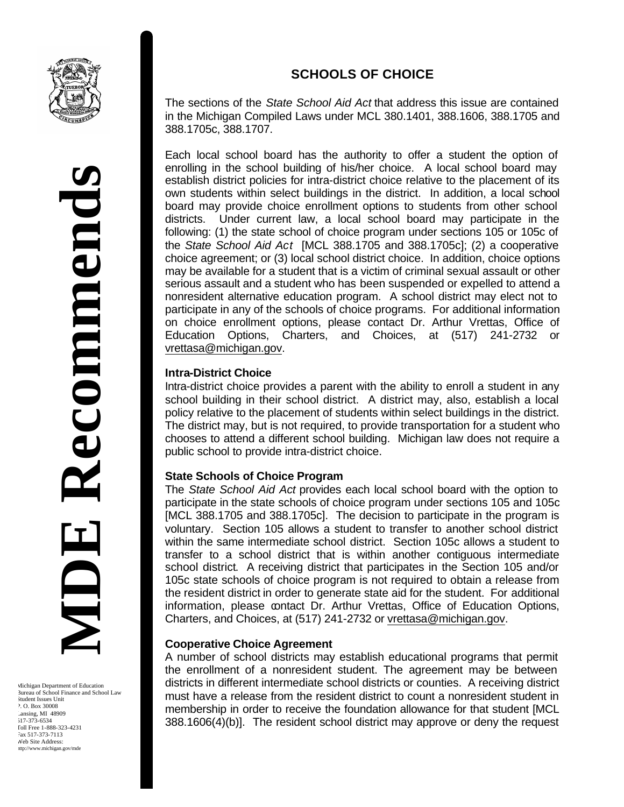

The sections of the *State School Aid Act* that address this issue are contained in the Michigan Compiled Laws under MCL 380.1401, 388.1606, 388.1705 and 388.1705c, 388.1707.

Each local school board has the authority to offer a student the option of enrolling in the school building of his/her choice. A local school board may establish district policies for intra-district choice relative to the placement of its own students within select buildings in the district. In addition, a local school board may provide choice enrollment options to students from other school districts. Under current law, a local school board may participate in the following: (1) the state school of choice program under sections 105 or 105c of the *State School Aid Act* [MCL 388.1705 and 388.1705c]; (2) a cooperative choice agreement; or (3) local school district choice. In addition, choice options may be available for a student that is a victim of criminal sexual assault or other serious assault and a student who has been suspended or expelled to attend a nonresident alternative education program. A school district may elect not to participate in any of the schools of choice programs. For additional information on choice enrollment options, please contact Dr. Arthur Vrettas, Office of Education Options, Charters, and Choices, at (517) 241-2732 or vrettasa@michigan.gov.

### **Intra-District Choice**

Intra-district choice provides a parent with the ability to enroll a student in any school building in their school district. A district may, also, establish a local policy relative to the placement of students within select buildings in the district. The district may, but is not required, to provide transportation for a student who chooses to attend a different school building. Michigan law does not require a public school to provide intra-district choice.

### **State Schools of Choice Program**

The *State School Aid Act* provides each local school board with the option to participate in the state schools of choice program under sections 105 and 105c [MCL 388.1705 and 388.1705c]. The decision to participate in the program is voluntary. Section 105 allows a student to transfer to another school district within the same intermediate school district. Section 105c allows a student to transfer to a school district that is within another contiguous intermediate school district. A receiving district that participates in the Section 105 and/or 105c state schools of choice program is not required to obtain a release from the resident district in order to generate state aid for the student. For additional information, please contact Dr. Arthur Vrettas, Office of Education Options, Charters, and Choices, at (517) 241-2732 or vrettasa@michigan.gov.

#### **Cooperative Choice Agreement**

A number of school districts may establish educational programs that permit the enrollment of a nonresident student. The agreement may be between districts in different intermediate school districts or counties. A receiving district must have a release from the resident district to count a nonresident student in membership in order to receive the foundation allowance for that student [MCL 388.1606(4)(b)]. The resident school district may approve or deny the request

Michigan Department of Education Bureau of School Finance and School Law Student Issues Unit P. O. Box 30008 Lansing, MI 48909 517-373-6534 Toll Free 1-888-323-4231 Fax 517-373-7113 Web Site Address: http://www.michigan.gov/mde